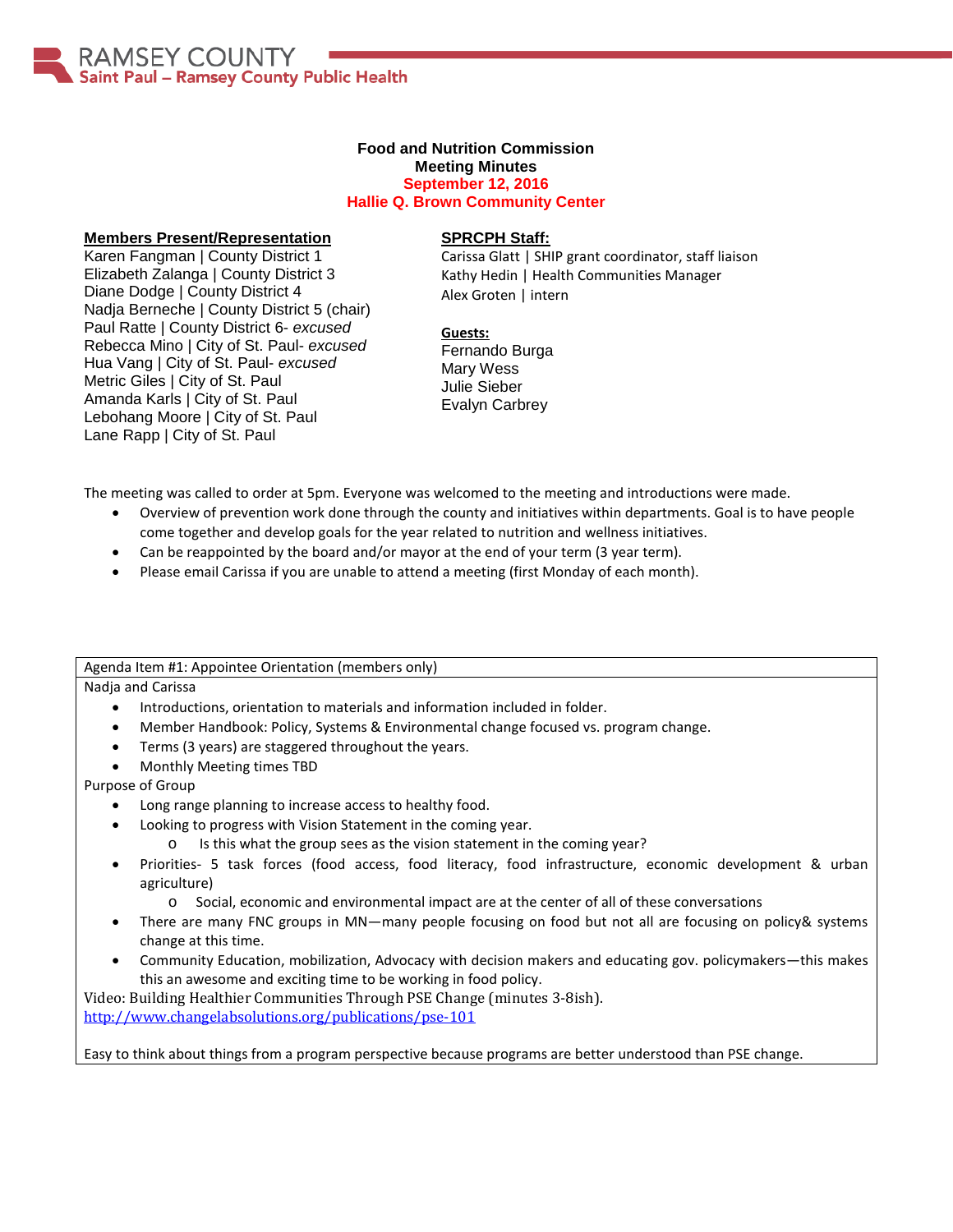AMSEY COUNTY Saint Paul - Ramsey County Public Health

#### **Food and Nutrition Commission Meeting Minutes September 12, 2016**

**Hallie Q. Brown Community Center**

# **Members Present/Representation**

Karen Fangman | County District 1 Elizabeth Zalanga | County District 3 Diane Dodge | County District 4 Nadja Berneche | County District 5 (chair) Paul Ratte | County District 6- *excused* Rebecca Mino | City of St. Paul- *excused* Hua Vang | City of St. Paul- *excused* Metric Giles | City of St. Paul Amanda Karls | City of St. Paul Lebohang Moore | City of St. Paul Lane Rapp | City of St. Paul

### **SPRCPH Staff:**

Carissa Glatt | SHIP grant coordinator, staff liaison Kathy Hedin | Health Communities Manager Alex Groten | intern

**Guests:** Fernando Burga Mary Wess Julie Sieber Evalyn Carbrey

The meeting was called to order at 5pm. Everyone was welcomed to the meeting and introductions were made.

- Overview of prevention work done through the county and initiatives within departments. Goal is to have people come together and develop goals for the year related to nutrition and wellness initiatives.
- Can be reappointed by the board and/or mayor at the end of your term (3 year term).
- Please email Carissa if you are unable to attend a meeting (first Monday of each month).

Agenda Item #1: Appointee Orientation (members only)

Nadja and Carissa

- Introductions, orientation to materials and information included in folder.
- Member Handbook: Policy, Systems & Environmental change focused vs. program change.
- Terms (3 years) are staggered throughout the years.
- Monthly Meeting times TBD

Purpose of Group

- Long range planning to increase access to healthy food.
- Looking to progress with Vision Statement in the coming year.
	- o Is this what the group sees as the vision statement in the coming year?
- Priorities- 5 task forces (food access, food literacy, food infrastructure, economic development & urban agriculture)
	- o Social, economic and environmental impact are at the center of all of these conversations
- There are many FNC groups in MN—many people focusing on food but not all are focusing on policy& systems change at this time.
- Community Education, mobilization, Advocacy with decision makers and educating gov. policymakers—this makes this an awesome and exciting time to be working in food policy.

Video: Building Healthier Communities Through PSE Change (minutes 3-8ish). <http://www.changelabsolutions.org/publications/pse-101>

Easy to think about things from a program perspective because programs are better understood than PSE change.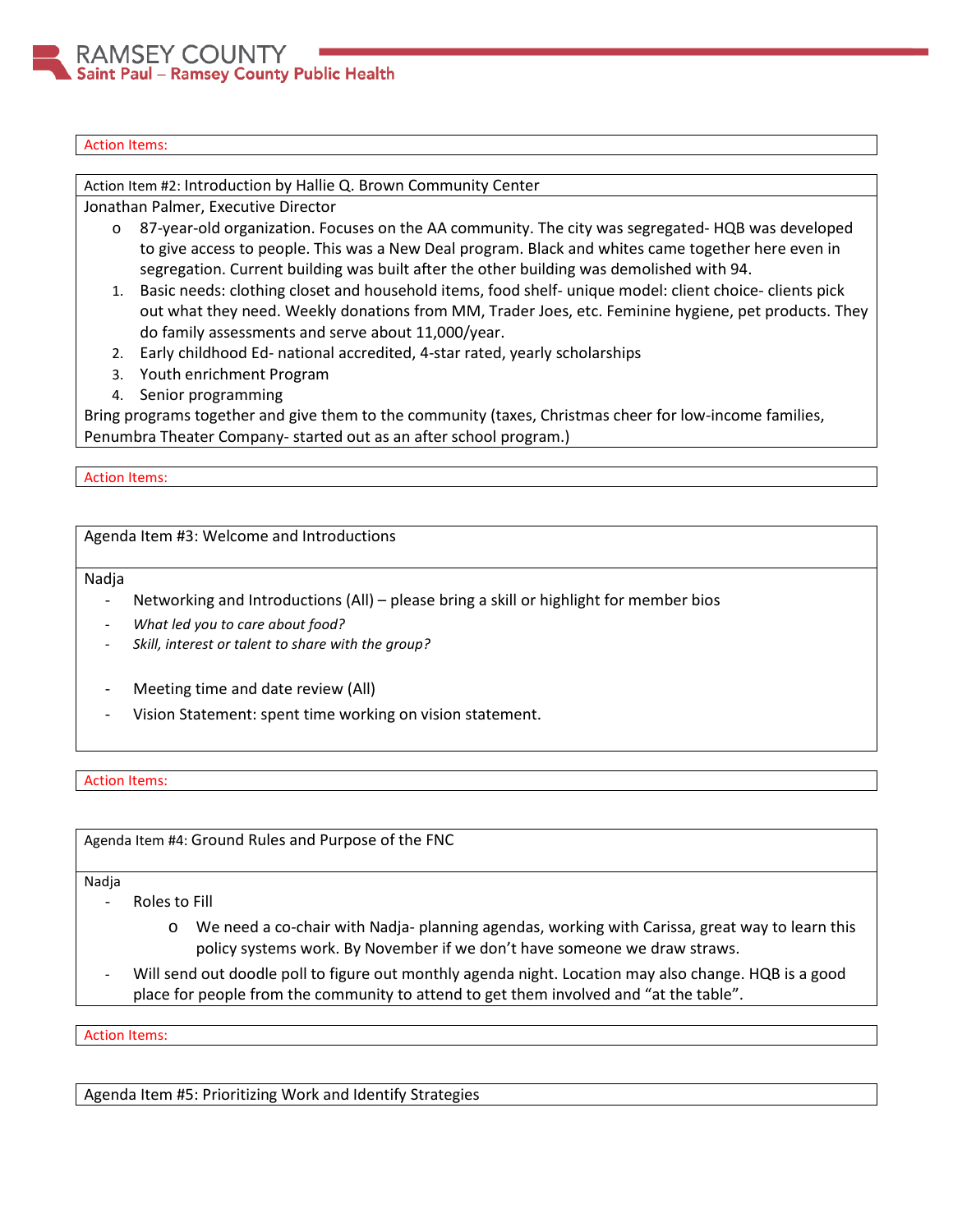# Action Items:

Action Item #2: Introduction by Hallie Q. Brown Community Center

Jonathan Palmer, Executive Director

- o 87-year-old organization. Focuses on the AA community. The city was segregated- HQB was developed to give access to people. This was a New Deal program. Black and whites came together here even in segregation. Current building was built after the other building was demolished with 94.
- 1. Basic needs: clothing closet and household items, food shelf- unique model: client choice- clients pick out what they need. Weekly donations from MM, Trader Joes, etc. Feminine hygiene, pet products. They do family assessments and serve about 11,000/year.
- 2. Early childhood Ed- national accredited, 4-star rated, yearly scholarships
- 3. Youth enrichment Program
- 4. Senior programming

Bring programs together and give them to the community (taxes, Christmas cheer for low-income families, Penumbra Theater Company- started out as an after school program.)

#### Action Items:

Agenda Item #3: Welcome and Introductions

Nadja

- Networking and Introductions (All) please bring a skill or highlight for member bios
- *What led you to care about food?*
- *Skill, interest or talent to share with the group?*
- Meeting time and date review (All)
- Vision Statement: spent time working on vision statement.

# Action Items:

Agenda Item #4: Ground Rules and Purpose of the FNC

Nadja

- Roles to Fill
	- o We need a co-chair with Nadja- planning agendas, working with Carissa, great way to learn this policy systems work. By November if we don't have someone we draw straws.
- Will send out doodle poll to figure out monthly agenda night. Location may also change. HQB is a good place for people from the community to attend to get them involved and "at the table".

Action Items:

Agenda Item #5: Prioritizing Work and Identify Strategies